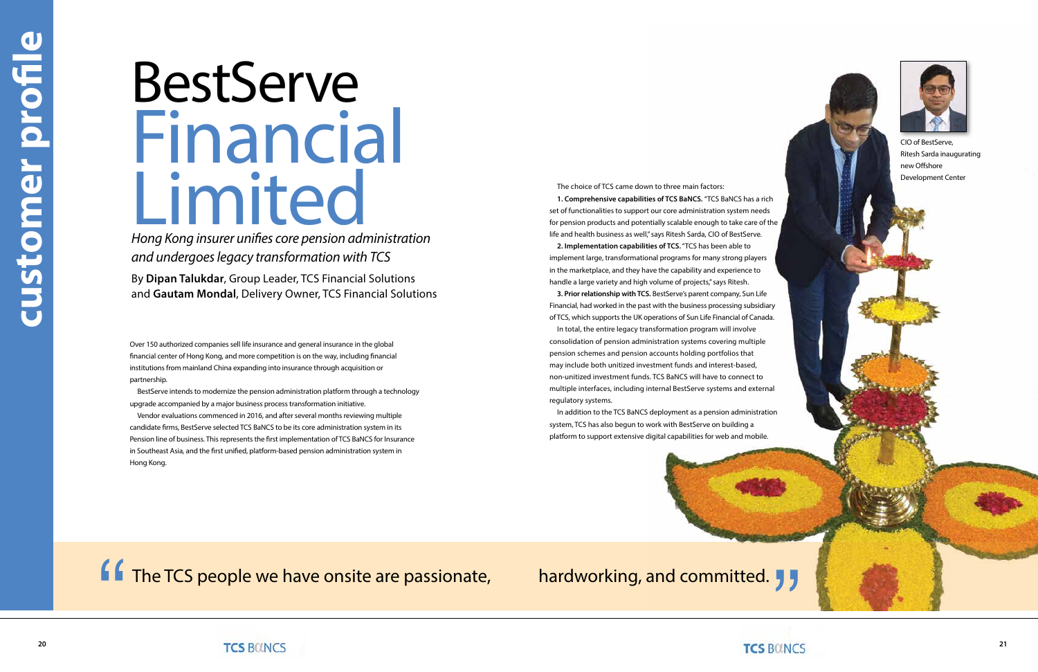Over 150 authorized companies sell life insurance and general insurance in the global financial center of Hong Kong, and more competition is on the way, including financial institutions from mainland China expanding into insurance through acquisition or partnership.

BestServe intends to modernize the pension administration platform through a technology upgrade accompanied by a major business process transformation initiative.

Vendor evaluations commenced in 2016, and after several months reviewing multiple candidate firms, BestServe selected TCS BaNCS to be its core administration system in its Pension line of business. This represents the first implementation of TCS BaNCS for Insurance in Southeast Asia, and the first unified, platform-based pension administration system in Hong Kong.

# BestServe Financial Limited

*Hong Kong insurer unifies core pension administration and undergoes legacy transformation with TCS*

By **Dipan Talukdar**, Group Leader, TCS Financial Solutions and **Gautam Mondal**, Delivery Owner, TCS Financial Solutions The choice of TCS came down to three main factors:

**1. Comprehensive capabilities of TCS BaNCS.** "TCS BaNCS has a rich set of functionalities to support our core administration system needs for pension products and potentially scalable enough to take care of the life and health business as well," says Ritesh Sarda, CIO of BestServe.

**2. Implementation capabilities of TCS.** "TCS has been able to implement large, transformational programs for many strong players in the marketplace, and they have the capability and experience to handle a large variety and high volume of projects," says Ritesh.

**3. Prior relationship with TCS.** BestServe's parent company, Sun Life Financial, had worked in the past with the business processing subsidiary of TCS, which supports the UK operations of Sun Life Financial of Canada.

In total, the entire legacy transformation program will involve consolidation of pension administration systems covering multiple pension schemes and pension accounts holding portfolios that may include both unitized investment funds and interest-based, non-unitized investment funds. TCS BaNCS will have to connect to multiple interfaces, including internal BestServe systems and external regulatory systems.

In addition to the TCS BaNCS deployment as a pension administration system, TCS has also begun to work with BestServe on building a platform to support extensive digital capabilities for web and mobile.



The TCS people we have onsite are passionate, hardworking, and committed. **f**  $\overline{ }$  The TCS people we have onsite are passionate, hardworking, and committed.  $\overline{ }$ ,  $\overline{ }$ <br>TCS BOINCS



CIO of BestServe, Ritesh Sarda inaugurating new Offshore Development Center